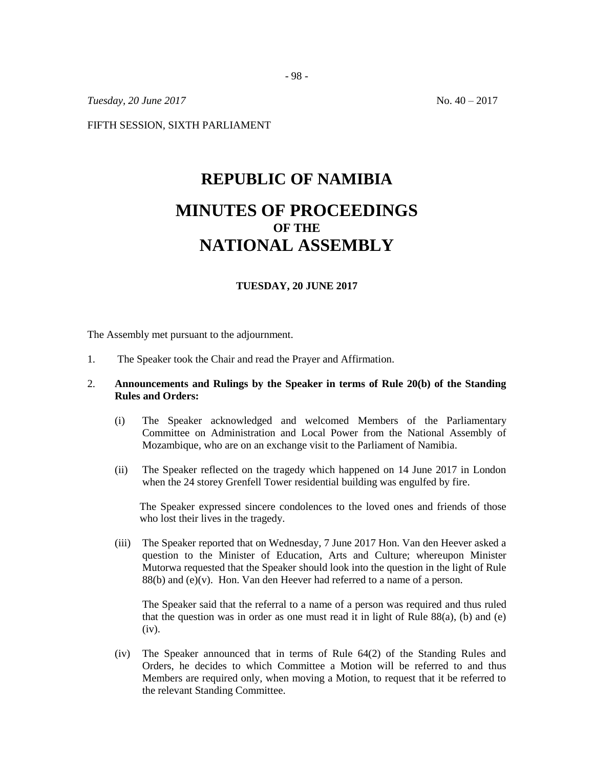*Tuesday, 20 June 2017* No. 40 – 2017

FIFTH SESSION, SIXTH PARLIAMENT

# **REPUBLIC OF NAMIBIA MINUTES OF PROCEEDINGS OF THE NATIONAL ASSEMBLY**

#### **TUESDAY, 20 JUNE 2017**

The Assembly met pursuant to the adjournment.

1. The Speaker took the Chair and read the Prayer and Affirmation.

## 2. **Announcements and Rulings by the Speaker in terms of Rule 20(b) of the Standing Rules and Orders:**

- (i) The Speaker acknowledged and welcomed Members of the Parliamentary Committee on Administration and Local Power from the National Assembly of Mozambique, who are on an exchange visit to the Parliament of Namibia.
- (ii) The Speaker reflected on the tragedy which happened on 14 June 2017 in London when the 24 storey Grenfell Tower residential building was engulfed by fire.

The Speaker expressed sincere condolences to the loved ones and friends of those who lost their lives in the tragedy.

(iii) The Speaker reported that on Wednesday, 7 June 2017 Hon. Van den Heever asked a question to the Minister of Education, Arts and Culture; whereupon Minister Mutorwa requested that the Speaker should look into the question in the light of Rule  $88(b)$  and (e)(v). Hon. Van den Heever had referred to a name of a person.

The Speaker said that the referral to a name of a person was required and thus ruled that the question was in order as one must read it in light of Rule  $88(a)$ , (b) and (e) (iv).

(iv) The Speaker announced that in terms of Rule 64(2) of the Standing Rules and Orders, he decides to which Committee a Motion will be referred to and thus Members are required only, when moving a Motion, to request that it be referred to the relevant Standing Committee.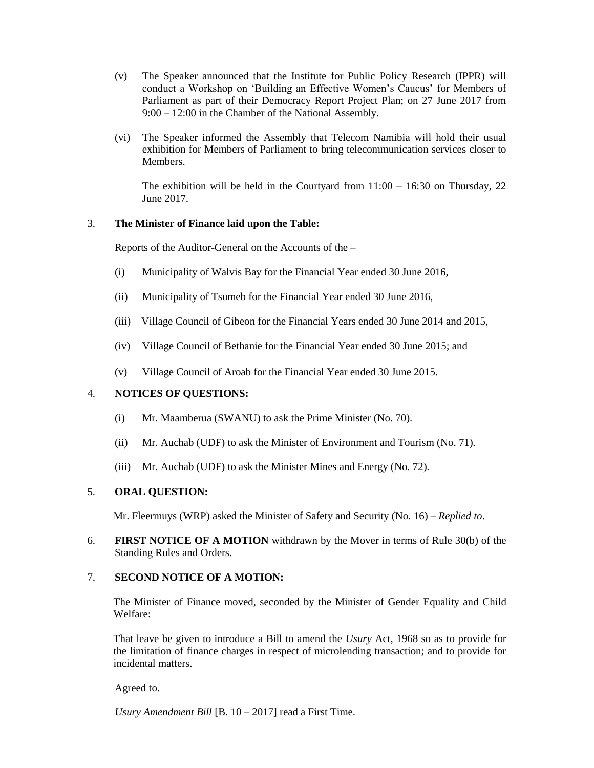- (v) The Speaker announced that the Institute for Public Policy Research (IPPR) will conduct a Workshop on 'Building an Effective Women's Caucus' for Members of Parliament as part of their Democracy Report Project Plan; on 27 June 2017 from 9:00 – 12:00 in the Chamber of the National Assembly.
- (vi) The Speaker informed the Assembly that Telecom Namibia will hold their usual exhibition for Members of Parliament to bring telecommunication services closer to Members.

The exhibition will be held in the Courtyard from  $11:00 - 16:30$  on Thursday, 22 June 2017.

## 3. **The Minister of Finance laid upon the Table:**

Reports of the Auditor-General on the Accounts of the –

- (i) Municipality of Walvis Bay for the Financial Year ended 30 June 2016,
- (ii) Municipality of Tsumeb for the Financial Year ended 30 June 2016,
- (iii) Village Council of Gibeon for the Financial Years ended 30 June 2014 and 2015,
- (iv) Village Council of Bethanie for the Financial Year ended 30 June 2015; and
- (v) Village Council of Aroab for the Financial Year ended 30 June 2015.

## 4. **NOTICES OF QUESTIONS:**

- (i) Mr. Maamberua (SWANU) to ask the Prime Minister (No. 70)*.*
- (ii) Mr. Auchab (UDF) to ask the Minister of Environment and Tourism (No. 71)*.*
- (iii) Mr. Auchab (UDF) to ask the Minister Mines and Energy (No. 72)*.*

## 5. **ORAL QUESTION:**

Mr. Fleermuys (WRP) asked the Minister of Safety and Security (No. 16) – *Replied to*.

6. **FIRST NOTICE OF A MOTION** withdrawn by the Mover in terms of Rule 30(b) of the Standing Rules and Orders.

## 7. **SECOND NOTICE OF A MOTION:**

The Minister of Finance moved, seconded by the Minister of Gender Equality and Child Welfare:

That leave be given to introduce a Bill to amend the *Usury* Act, 1968 so as to provide for the limitation of finance charges in respect of microlending transaction; and to provide for incidental matters.

Agreed to.

*Usury Amendment Bill* [B. 10 – 2017] read a First Time.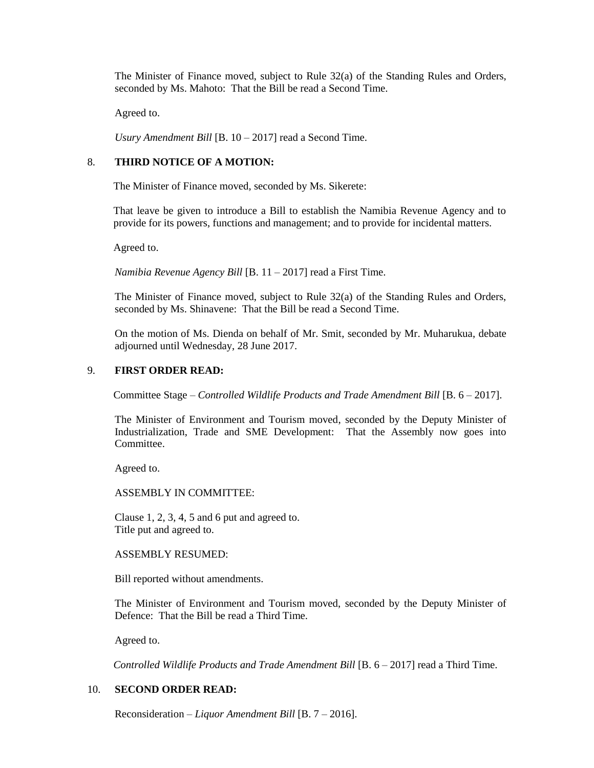The Minister of Finance moved, subject to Rule 32(a) of the Standing Rules and Orders, seconded by Ms. Mahoto: That the Bill be read a Second Time.

Agreed to.

*Usury Amendment Bill* [B. 10 – 2017] read a Second Time.

## 8. **THIRD NOTICE OF A MOTION:**

The Minister of Finance moved, seconded by Ms. Sikerete:

That leave be given to introduce a Bill to establish the Namibia Revenue Agency and to provide for its powers, functions and management; and to provide for incidental matters.

Agreed to.

*Namibia Revenue Agency Bill* [B. 11 – 2017] read a First Time.

The Minister of Finance moved, subject to Rule 32(a) of the Standing Rules and Orders, seconded by Ms. Shinavene: That the Bill be read a Second Time.

On the motion of Ms. Dienda on behalf of Mr. Smit, seconded by Mr. Muharukua, debate adjourned until Wednesday, 28 June 2017.

#### 9. **FIRST ORDER READ:**

Committee Stage – *Controlled Wildlife Products and Trade Amendment Bill* [B. 6 – 2017].

The Minister of Environment and Tourism moved, seconded by the Deputy Minister of Industrialization, Trade and SME Development: That the Assembly now goes into Committee.

Agreed to.

ASSEMBLY IN COMMITTEE:

Clause 1, 2, 3, 4, 5 and 6 put and agreed to. Title put and agreed to.

#### ASSEMBLY RESUMED:

Bill reported without amendments.

The Minister of Environment and Tourism moved, seconded by the Deputy Minister of Defence: That the Bill be read a Third Time.

Agreed to.

*Controlled Wildlife Products and Trade Amendment Bill* [B. 6 – 2017] read a Third Time.

## 10. **SECOND ORDER READ:**

Reconsideration *– Liquor Amendment Bill* [B. 7 – 2016].